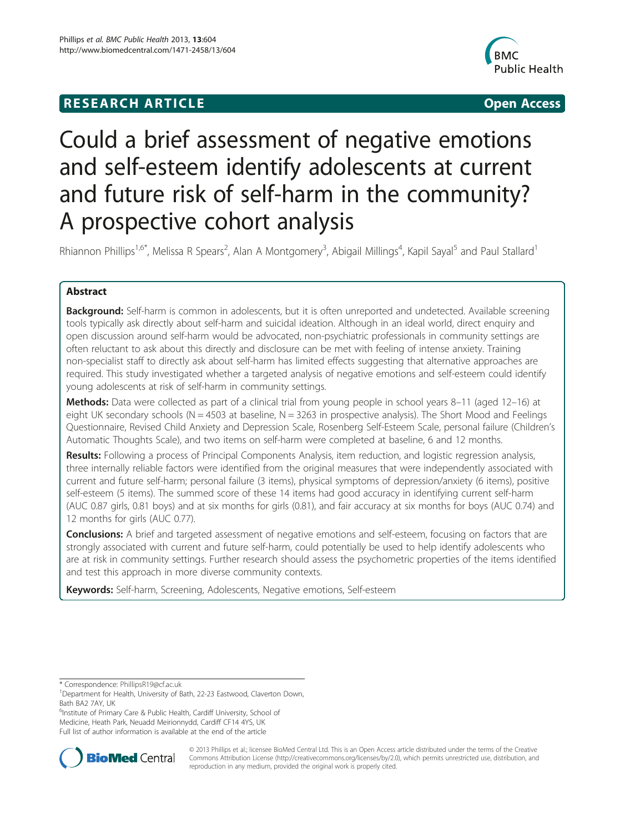## **RESEARCH ARTICLE Example 2014 12:30 The SEAR CHIPS 2014 12:30 The Open Access**



# Could a brief assessment of negative emotions and self-esteem identify adolescents at current and future risk of self-harm in the community? A prospective cohort analysis

Rhiannon Phillips<sup>1,6\*</sup>, Melissa R Spears<sup>2</sup>, Alan A Montgomery<sup>3</sup>, Abigail Millings<sup>4</sup>, Kapil Sayal<sup>5</sup> and Paul Stallard<sup>1</sup>

## Abstract

**Background:** Self-harm is common in adolescents, but it is often unreported and undetected. Available screening tools typically ask directly about self-harm and suicidal ideation. Although in an ideal world, direct enquiry and open discussion around self-harm would be advocated, non-psychiatric professionals in community settings are often reluctant to ask about this directly and disclosure can be met with feeling of intense anxiety. Training non-specialist staff to directly ask about self-harm has limited effects suggesting that alternative approaches are required. This study investigated whether a targeted analysis of negative emotions and self-esteem could identify young adolescents at risk of self-harm in community settings.

Methods: Data were collected as part of a clinical trial from young people in school years 8–11 (aged 12–16) at eight UK secondary schools (N = 4503 at baseline,  $N = 3263$  in prospective analysis). The Short Mood and Feelings Questionnaire, Revised Child Anxiety and Depression Scale, Rosenberg Self-Esteem Scale, personal failure (Children's Automatic Thoughts Scale), and two items on self-harm were completed at baseline, 6 and 12 months.

Results: Following a process of Principal Components Analysis, item reduction, and logistic regression analysis, three internally reliable factors were identified from the original measures that were independently associated with current and future self-harm; personal failure (3 items), physical symptoms of depression/anxiety (6 items), positive self-esteem (5 items). The summed score of these 14 items had good accuracy in identifying current self-harm (AUC 0.87 girls, 0.81 boys) and at six months for girls (0.81), and fair accuracy at six months for boys (AUC 0.74) and 12 months for girls (AUC 0.77).

Conclusions: A brief and targeted assessment of negative emotions and self-esteem, focusing on factors that are strongly associated with current and future self-harm, could potentially be used to help identify adolescents who are at risk in community settings. Further research should assess the psychometric properties of the items identified and test this approach in more diverse community contexts.

Keywords: Self-harm, Screening, Adolescents, Negative emotions, Self-esteem

<sup>6</sup>Institute of Primary Care & Public Health, Cardiff University, School of Medicine, Heath Park, Neuadd Meirionnydd, Cardiff CF14 4YS, UK Full list of author information is available at the end of the article



© 2013 Phillips et al.; licensee BioMed Central Ltd. This is an Open Access article distributed under the terms of the Creative Commons Attribution License [\(http://creativecommons.org/licenses/by/2.0\)](http://creativecommons.org/licenses/by/2.0), which permits unrestricted use, distribution, and reproduction in any medium, provided the original work is properly cited.

<sup>\*</sup> Correspondence: [PhillipsR19@cf.ac.uk](mailto:PhillipsR19@cf.ac.uk) <sup>1</sup>

<sup>&</sup>lt;sup>1</sup>Department for Health, University of Bath, 22-23 Eastwood, Claverton Down, Bath BA2 7AY, UK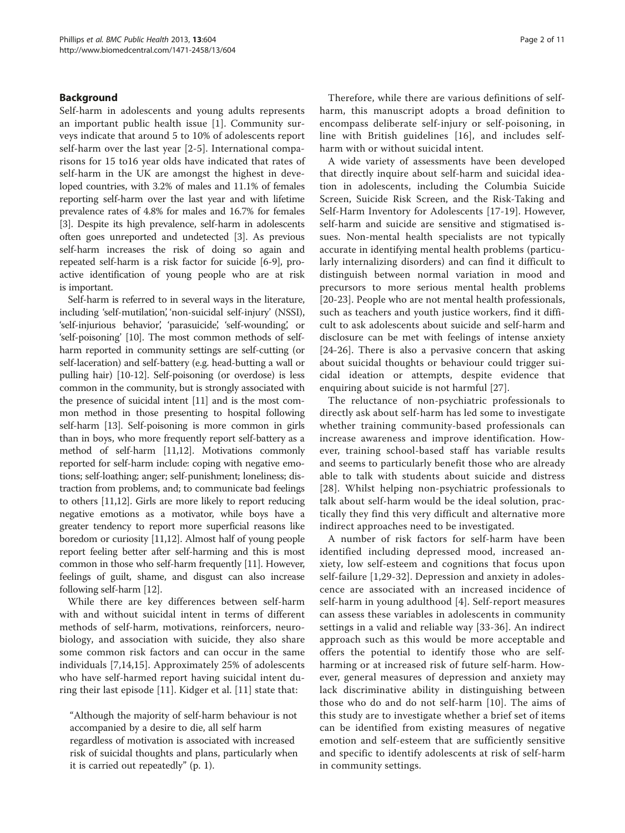## Background

Self-harm in adolescents and young adults represents an important public health issue [\[1](#page-9-0)]. Community surveys indicate that around 5 to 10% of adolescents report self-harm over the last year [[2](#page-9-0)-[5\]](#page-9-0). International comparisons for 15 to16 year olds have indicated that rates of self-harm in the UK are amongst the highest in developed countries, with 3.2% of males and 11.1% of females reporting self-harm over the last year and with lifetime prevalence rates of 4.8% for males and 16.7% for females [[3\]](#page-9-0). Despite its high prevalence, self-harm in adolescents often goes unreported and undetected [\[3\]](#page-9-0). As previous self-harm increases the risk of doing so again and repeated self-harm is a risk factor for suicide [\[6-9](#page-9-0)], proactive identification of young people who are at risk is important.

Self-harm is referred to in several ways in the literature, including 'self-mutilation', 'non-suicidal self-injury' (NSSI), 'self-injurious behavior', 'parasuicide', 'self-wounding', or 'self-poisoning' [[10](#page-9-0)]. The most common methods of selfharm reported in community settings are self-cutting (or self-laceration) and self-battery (e.g. head-butting a wall or pulling hair) [\[10-12](#page-9-0)]. Self-poisoning (or overdose) is less common in the community, but is strongly associated with the presence of suicidal intent [\[11\]](#page-9-0) and is the most common method in those presenting to hospital following self-harm [\[13](#page-9-0)]. Self-poisoning is more common in girls than in boys, who more frequently report self-battery as a method of self-harm [[11,12](#page-9-0)]. Motivations commonly reported for self-harm include: coping with negative emotions; self-loathing; anger; self-punishment; loneliness; distraction from problems, and; to communicate bad feelings to others [\[11,12\]](#page-9-0). Girls are more likely to report reducing negative emotions as a motivator, while boys have a greater tendency to report more superficial reasons like boredom or curiosity [\[11,12](#page-9-0)]. Almost half of young people report feeling better after self-harming and this is most common in those who self-harm frequently [[11](#page-9-0)]. However, feelings of guilt, shame, and disgust can also increase following self-harm [[12](#page-9-0)].

While there are key differences between self-harm with and without suicidal intent in terms of different methods of self-harm, motivations, reinforcers, neurobiology, and association with suicide, they also share some common risk factors and can occur in the same individuals [\[7,14,15\]](#page-9-0). Approximately 25% of adolescents who have self-harmed report having suicidal intent during their last episode [[11\]](#page-9-0). Kidger et al. [[11\]](#page-9-0) state that:

"Although the majority of self-harm behaviour is not accompanied by a desire to die, all self harm regardless of motivation is associated with increased risk of suicidal thoughts and plans, particularly when it is carried out repeatedly" (p. 1).

Therefore, while there are various definitions of selfharm, this manuscript adopts a broad definition to encompass deliberate self-injury or self-poisoning, in line with British guidelines [[16\]](#page-9-0), and includes selfharm with or without suicidal intent.

A wide variety of assessments have been developed that directly inquire about self-harm and suicidal ideation in adolescents, including the Columbia Suicide Screen, Suicide Risk Screen, and the Risk-Taking and Self-Harm Inventory for Adolescents [\[17](#page-9-0)-[19\]](#page-10-0). However, self-harm and suicide are sensitive and stigmatised issues. Non-mental health specialists are not typically accurate in identifying mental health problems (particularly internalizing disorders) and can find it difficult to distinguish between normal variation in mood and precursors to more serious mental health problems [[20](#page-10-0)-[23\]](#page-10-0). People who are not mental health professionals, such as teachers and youth justice workers, find it difficult to ask adolescents about suicide and self-harm and disclosure can be met with feelings of intense anxiety [[24-26\]](#page-10-0). There is also a pervasive concern that asking about suicidal thoughts or behaviour could trigger suicidal ideation or attempts, despite evidence that enquiring about suicide is not harmful [\[27](#page-10-0)].

The reluctance of non-psychiatric professionals to directly ask about self-harm has led some to investigate whether training community-based professionals can increase awareness and improve identification. However, training school-based staff has variable results and seems to particularly benefit those who are already able to talk with students about suicide and distress [[28](#page-10-0)]. Whilst helping non-psychiatric professionals to talk about self-harm would be the ideal solution, practically they find this very difficult and alternative more indirect approaches need to be investigated.

A number of risk factors for self-harm have been identified including depressed mood, increased anxiety, low self-esteem and cognitions that focus upon self-failure [[1](#page-9-0)[,29-32\]](#page-10-0). Depression and anxiety in adolescence are associated with an increased incidence of self-harm in young adulthood [[4](#page-9-0)]. Self-report measures can assess these variables in adolescents in community settings in a valid and reliable way [\[33](#page-10-0)-[36](#page-10-0)]. An indirect approach such as this would be more acceptable and offers the potential to identify those who are selfharming or at increased risk of future self-harm. However, general measures of depression and anxiety may lack discriminative ability in distinguishing between those who do and do not self-harm [[10](#page-9-0)]. The aims of this study are to investigate whether a brief set of items can be identified from existing measures of negative emotion and self-esteem that are sufficiently sensitive and specific to identify adolescents at risk of self-harm in community settings.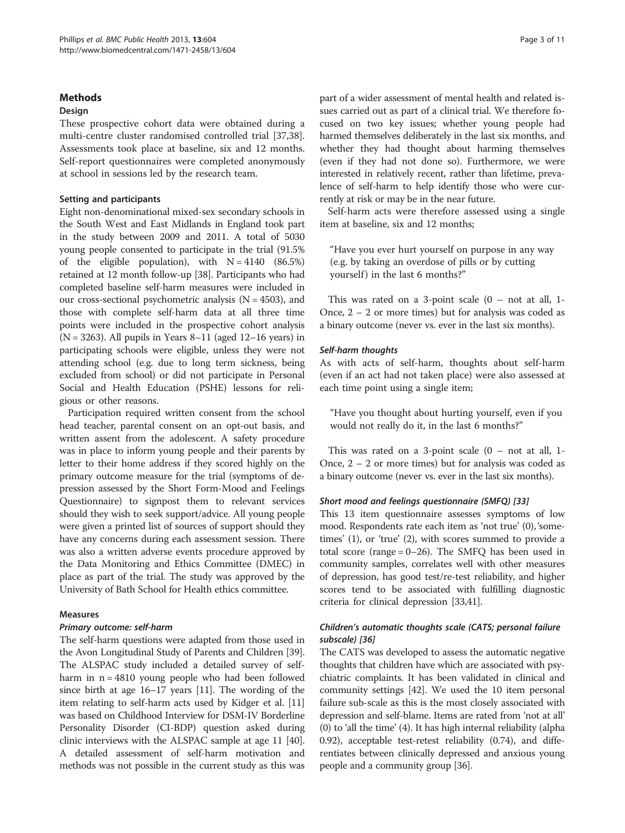#### **Methods**

#### Design

These prospective cohort data were obtained during a multi-centre cluster randomised controlled trial [\[37,38](#page-10-0)]. Assessments took place at baseline, six and 12 months. Self-report questionnaires were completed anonymously at school in sessions led by the research team.

#### Setting and participants

Eight non-denominational mixed-sex secondary schools in the South West and East Midlands in England took part in the study between 2009 and 2011. A total of 5030 young people consented to participate in the trial (91.5% of the eligible population), with  $N = 4140$  (86.5%) retained at 12 month follow-up [\[38](#page-10-0)]. Participants who had completed baseline self-harm measures were included in our cross-sectional psychometric analysis  $(N = 4503)$ , and those with complete self-harm data at all three time points were included in the prospective cohort analysis  $(N = 3263)$ . All pupils in Years 8–11 (aged 12–16 years) in participating schools were eligible, unless they were not attending school (e.g. due to long term sickness, being excluded from school) or did not participate in Personal Social and Health Education (PSHE) lessons for religious or other reasons.

Participation required written consent from the school head teacher, parental consent on an opt-out basis, and written assent from the adolescent. A safety procedure was in place to inform young people and their parents by letter to their home address if they scored highly on the primary outcome measure for the trial (symptoms of depression assessed by the Short Form-Mood and Feelings Questionnaire) to signpost them to relevant services should they wish to seek support/advice. All young people were given a printed list of sources of support should they have any concerns during each assessment session. There was also a written adverse events procedure approved by the Data Monitoring and Ethics Committee (DMEC) in place as part of the trial. The study was approved by the University of Bath School for Health ethics committee.

## Measures

## Primary outcome: self-harm

The self-harm questions were adapted from those used in the Avon Longitudinal Study of Parents and Children [[39](#page-10-0)]. The ALSPAC study included a detailed survey of selfharm in  $n = 4810$  young people who had been followed since birth at age 16–17 years [\[11\]](#page-9-0). The wording of the item relating to self-harm acts used by Kidger et al. [[11](#page-9-0)] was based on Childhood Interview for DSM-IV Borderline Personality Disorder (CI-BDP) question asked during clinic interviews with the ALSPAC sample at age 11 [[40](#page-10-0)]. A detailed assessment of self-harm motivation and methods was not possible in the current study as this was

part of a wider assessment of mental health and related issues carried out as part of a clinical trial. We therefore focused on two key issues; whether young people had harmed themselves deliberately in the last six months, and whether they had thought about harming themselves (even if they had not done so). Furthermore, we were interested in relatively recent, rather than lifetime, prevalence of self-harm to help identify those who were currently at risk or may be in the near future.

Self-harm acts were therefore assessed using a single item at baseline, six and 12 months;

"Have you ever hurt yourself on purpose in any way (e.g. by taking an overdose of pills or by cutting yourself) in the last 6 months?"

This was rated on a 3-point scale  $(0 - not at all, 1 -)$ Once, 2 – 2 or more times) but for analysis was coded as a binary outcome (never vs. ever in the last six months).

## Self-harm thoughts

As with acts of self-harm, thoughts about self-harm (even if an act had not taken place) were also assessed at each time point using a single item;

"Have you thought about hurting yourself, even if you would not really do it, in the last 6 months?"

This was rated on a 3-point scale  $(0 - not at all, 1 -)$ Once, 2 – 2 or more times) but for analysis was coded as a binary outcome (never vs. ever in the last six months).

## Short mood and feelings questionnaire (SMFQ) [\[33\]](#page-10-0)

This 13 item questionnaire assesses symptoms of low mood. Respondents rate each item as 'not true' (0), 'sometimes' (1), or 'true' (2), with scores summed to provide a total score (range = 0–26). The SMFQ has been used in community samples, correlates well with other measures of depression, has good test/re-test reliability, and higher scores tend to be associated with fulfilling diagnostic criteria for clinical depression [\[33,41\]](#page-10-0).

## Children's automatic thoughts scale (CATS; personal failure subscale) [\[36\]](#page-10-0)

The CATS was developed to assess the automatic negative thoughts that children have which are associated with psychiatric complaints. It has been validated in clinical and community settings [\[42\]](#page-10-0). We used the 10 item personal failure sub-scale as this is the most closely associated with depression and self-blame. Items are rated from 'not at all' (0) to 'all the time' (4). It has high internal reliability (alpha 0.92), acceptable test-retest reliability (0.74), and differentiates between clinically depressed and anxious young people and a community group [[36](#page-10-0)].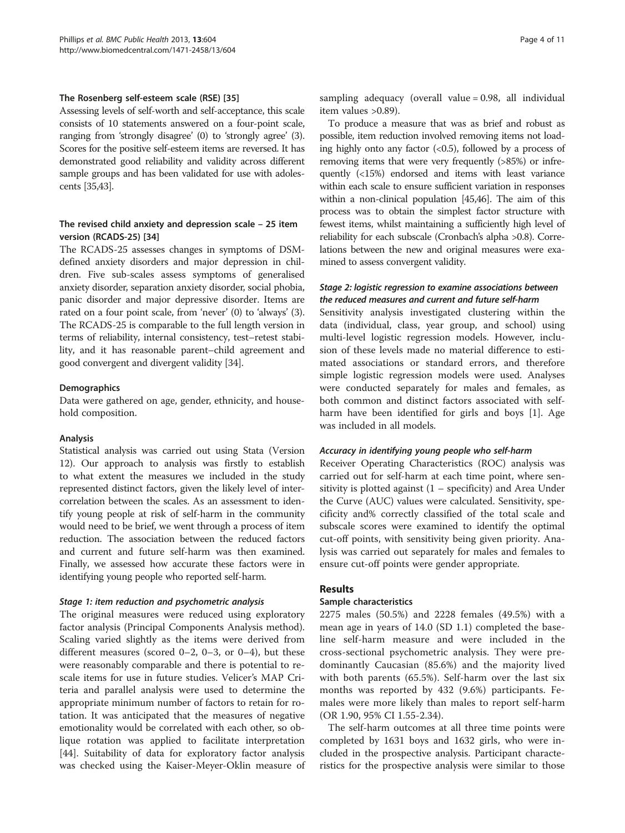#### The Rosenberg self-esteem scale (RSE) [[35](#page-10-0)]

Assessing levels of self-worth and self-acceptance, this scale consists of 10 statements answered on a four-point scale, ranging from 'strongly disagree' (0) to 'strongly agree' (3). Scores for the positive self-esteem items are reversed. It has demonstrated good reliability and validity across different sample groups and has been validated for use with adolescents [[35,43](#page-10-0)].

## The revised child anxiety and depression scale – 25 item version (RCADS-25) [\[34](#page-10-0)]

The RCADS-25 assesses changes in symptoms of DSMdefined anxiety disorders and major depression in children. Five sub-scales assess symptoms of generalised anxiety disorder, separation anxiety disorder, social phobia, panic disorder and major depressive disorder. Items are rated on a four point scale, from 'never' (0) to 'always' (3). The RCADS-25 is comparable to the full length version in terms of reliability, internal consistency, test–retest stability, and it has reasonable parent–child agreement and good convergent and divergent validity [\[34\]](#page-10-0).

#### Demographics

Data were gathered on age, gender, ethnicity, and household composition.

#### Analysis

Statistical analysis was carried out using Stata (Version 12). Our approach to analysis was firstly to establish to what extent the measures we included in the study represented distinct factors, given the likely level of intercorrelation between the scales. As an assessment to identify young people at risk of self-harm in the community would need to be brief, we went through a process of item reduction. The association between the reduced factors and current and future self-harm was then examined. Finally, we assessed how accurate these factors were in identifying young people who reported self-harm.

#### Stage 1: item reduction and psychometric analysis

The original measures were reduced using exploratory factor analysis (Principal Components Analysis method). Scaling varied slightly as the items were derived from different measures (scored  $0-2$ ,  $0-3$ , or  $0-4$ ), but these were reasonably comparable and there is potential to rescale items for use in future studies. Velicer's MAP Criteria and parallel analysis were used to determine the appropriate minimum number of factors to retain for rotation. It was anticipated that the measures of negative emotionality would be correlated with each other, so oblique rotation was applied to facilitate interpretation [[44\]](#page-10-0). Suitability of data for exploratory factor analysis was checked using the Kaiser-Meyer-Oklin measure of sampling adequacy (overall value = 0.98, all individual item values >0.89).

To produce a measure that was as brief and robust as possible, item reduction involved removing items not loading highly onto any factor  $( $0.5$ ), followed by a process of$ removing items that were very frequently (>85%) or infrequently (<15%) endorsed and items with least variance within each scale to ensure sufficient variation in responses within a non-clinical population [\[45,46\]](#page-10-0). The aim of this process was to obtain the simplest factor structure with fewest items, whilst maintaining a sufficiently high level of reliability for each subscale (Cronbach's alpha >0.8). Correlations between the new and original measures were examined to assess convergent validity.

## Stage 2: logistic regression to examine associations between the reduced measures and current and future self-harm

Sensitivity analysis investigated clustering within the data (individual, class, year group, and school) using multi-level logistic regression models. However, inclusion of these levels made no material difference to estimated associations or standard errors, and therefore simple logistic regression models were used. Analyses were conducted separately for males and females, as both common and distinct factors associated with selfharm have been identified for girls and boys [\[1](#page-9-0)]. Age was included in all models.

#### Accuracy in identifying young people who self-harm

Receiver Operating Characteristics (ROC) analysis was carried out for self-harm at each time point, where sensitivity is plotted against  $(1 - \text{specificity})$  and Area Under the Curve (AUC) values were calculated. Sensitivity, specificity and% correctly classified of the total scale and subscale scores were examined to identify the optimal cut-off points, with sensitivity being given priority. Analysis was carried out separately for males and females to ensure cut-off points were gender appropriate.

## Results

#### Sample characteristics

2275 males (50.5%) and 2228 females (49.5%) with a mean age in years of 14.0 (SD 1.1) completed the baseline self-harm measure and were included in the cross-sectional psychometric analysis. They were predominantly Caucasian (85.6%) and the majority lived with both parents (65.5%). Self-harm over the last six months was reported by 432 (9.6%) participants. Females were more likely than males to report self-harm (OR 1.90, 95% CI 1.55-2.34).

The self-harm outcomes at all three time points were completed by 1631 boys and 1632 girls, who were included in the prospective analysis. Participant characteristics for the prospective analysis were similar to those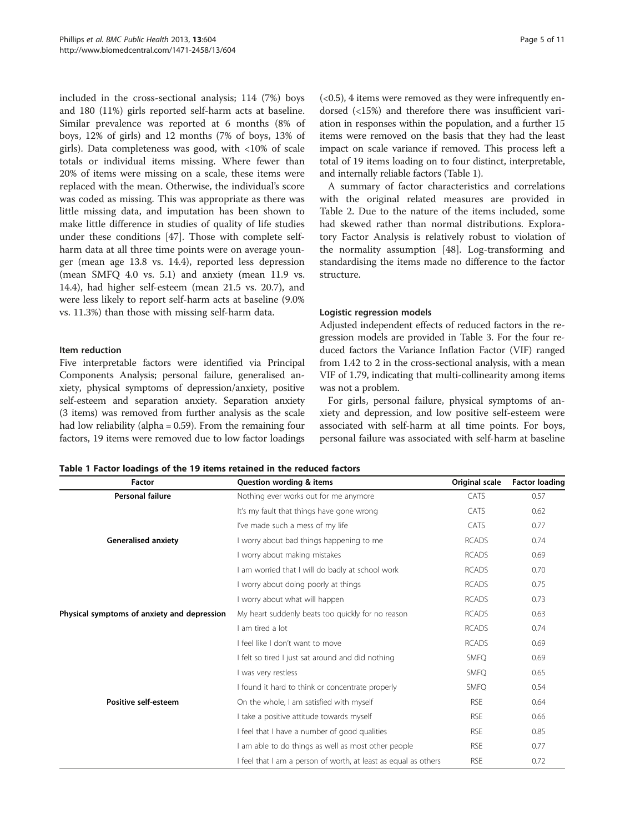<span id="page-4-0"></span>included in the cross-sectional analysis; 114 (7%) boys and 180 (11%) girls reported self-harm acts at baseline. Similar prevalence was reported at 6 months (8% of boys, 12% of girls) and 12 months (7% of boys, 13% of girls). Data completeness was good, with <10% of scale totals or individual items missing. Where fewer than 20% of items were missing on a scale, these items were replaced with the mean. Otherwise, the individual's score was coded as missing. This was appropriate as there was little missing data, and imputation has been shown to make little difference in studies of quality of life studies under these conditions [[47](#page-10-0)]. Those with complete selfharm data at all three time points were on average younger (mean age 13.8 vs. 14.4), reported less depression (mean SMFQ 4.0 vs. 5.1) and anxiety (mean 11.9 vs. 14.4), had higher self-esteem (mean 21.5 vs. 20.7), and were less likely to report self-harm acts at baseline (9.0% vs. 11.3%) than those with missing self-harm data.

#### Item reduction

Five interpretable factors were identified via Principal Components Analysis; personal failure, generalised anxiety, physical symptoms of depression/anxiety, positive self-esteem and separation anxiety. Separation anxiety (3 items) was removed from further analysis as the scale had low reliability (alpha = 0.59). From the remaining four factors, 19 items were removed due to low factor loadings  $( $0.5$ ), 4 items were removed as they were infrequently en$ dorsed (<15%) and therefore there was insufficient variation in responses within the population, and a further 15 items were removed on the basis that they had the least impact on scale variance if removed. This process left a total of 19 items loading on to four distinct, interpretable, and internally reliable factors (Table 1).

A summary of factor characteristics and correlations with the original related measures are provided in Table [2.](#page-5-0) Due to the nature of the items included, some had skewed rather than normal distributions. Exploratory Factor Analysis is relatively robust to violation of the normality assumption [[48\]](#page-10-0). Log-transforming and standardising the items made no difference to the factor structure.

## Logistic regression models

Adjusted independent effects of reduced factors in the regression models are provided in Table [3](#page-6-0). For the four reduced factors the Variance Inflation Factor (VIF) ranged from 1.42 to 2 in the cross-sectional analysis, with a mean VIF of 1.79, indicating that multi-collinearity among items was not a problem.

For girls, personal failure, physical symptoms of anxiety and depression, and low positive self-esteem were associated with self-harm at all time points. For boys, personal failure was associated with self-harm at baseline

Table 1 Factor loadings of the 19 items retained in the reduced factors

| Factor                                      | Question wording & items                                        | Original scale | <b>Factor loading</b> |
|---------------------------------------------|-----------------------------------------------------------------|----------------|-----------------------|
| Personal failure                            | Nothing ever works out for me anymore                           | CATS           | 0.57                  |
|                                             | It's my fault that things have gone wrong                       | CATS           | 0.62                  |
|                                             | I've made such a mess of my life                                | CATS           | 0.77                  |
| <b>Generalised anxiety</b>                  | I worry about bad things happening to me                        | <b>RCADS</b>   | 0.74                  |
|                                             | I worry about making mistakes                                   | <b>RCADS</b>   | 0.69                  |
|                                             | I am worried that I will do badly at school work                | <b>RCADS</b>   | 0.70                  |
|                                             | I worry about doing poorly at things                            | <b>RCADS</b>   | 0.75                  |
|                                             | I worry about what will happen                                  | <b>RCADS</b>   | 0.73                  |
| Physical symptoms of anxiety and depression | My heart suddenly beats too quickly for no reason               | <b>RCADS</b>   | 0.63                  |
|                                             | I am tired a lot                                                | <b>RCADS</b>   | 0.74                  |
|                                             | I feel like I don't want to move                                | <b>RCADS</b>   | 0.69                  |
|                                             | I felt so tired I just sat around and did nothing               | <b>SMFQ</b>    | 0.69                  |
|                                             | I was very restless                                             | <b>SMFO</b>    | 0.65                  |
|                                             | I found it hard to think or concentrate properly                | <b>SMFO</b>    | 0.54                  |
| Positive self-esteem                        | On the whole, I am satisfied with myself                        | <b>RSE</b>     | 0.64                  |
|                                             | I take a positive attitude towards myself                       | <b>RSF</b>     | 0.66                  |
|                                             | I feel that I have a number of good qualities                   | <b>RSE</b>     | 0.85                  |
|                                             | I am able to do things as well as most other people             | <b>RSE</b>     | 0.77                  |
|                                             | I feel that I am a person of worth, at least as equal as others | <b>RSE</b>     | 0.72                  |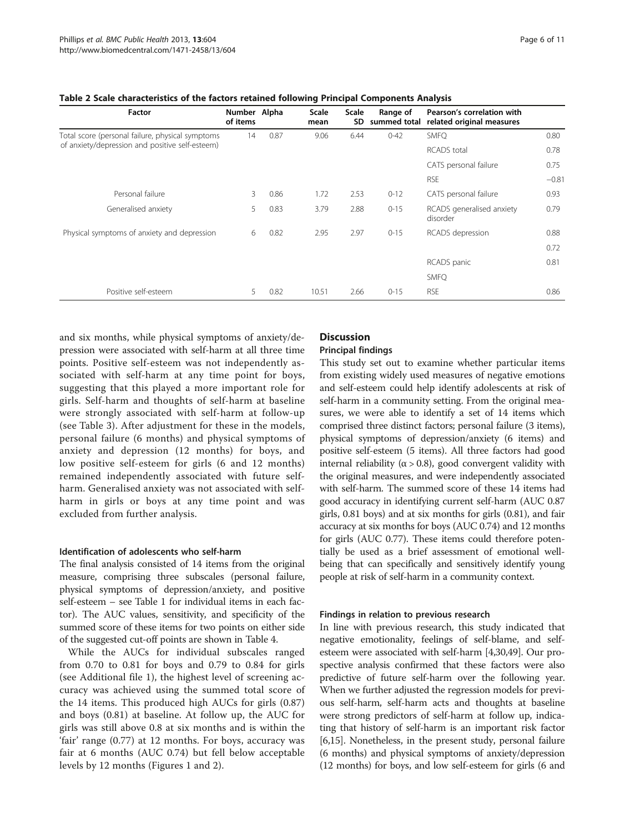| Factor                                           | Number Alpha<br>of items |      | Scale<br>mean | <b>Scale</b><br>SD | Range of<br>summed total | Pearson's correlation with<br>related original measures |         |
|--------------------------------------------------|--------------------------|------|---------------|--------------------|--------------------------|---------------------------------------------------------|---------|
| Total score (personal failure, physical symptoms | 14                       | 0.87 | 9.06          | 6.44               | $0 - 42$                 | <b>SMFO</b>                                             | 0.80    |
| of anxiety/depression and positive self-esteem)  |                          |      |               |                    |                          | RCADS total                                             | 0.78    |
|                                                  |                          |      |               |                    |                          | CATS personal failure                                   | 0.75    |
|                                                  |                          |      |               |                    |                          | <b>RSE</b>                                              | $-0.81$ |
| Personal failure                                 | 3                        | 0.86 | 1.72          | 2.53               | $0 - 12$                 | CATS personal failure                                   | 0.93    |
| Generalised anxiety                              | 5                        | 0.83 | 3.79          | 2.88               | $0 - 15$                 | RCADS generalised anxiety<br>disorder                   | 0.79    |
| Physical symptoms of anxiety and depression      | 6                        | 0.82 | 2.95          | 2.97               | $0 - 15$                 | RCADS depression                                        | 0.88    |
|                                                  |                          |      |               |                    |                          |                                                         | 0.72    |
|                                                  |                          |      |               |                    |                          | RCADS panic                                             | 0.81    |
|                                                  |                          |      |               |                    |                          | SMFQ                                                    |         |
| Positive self-esteem                             | 5                        | 0.82 | 10.51         | 2.66               | $0 - 15$                 | <b>RSE</b>                                              | 0.86    |

<span id="page-5-0"></span>Table 2 Scale characteristics of the factors retained following Principal Components Analysis

and six months, while physical symptoms of anxiety/depression were associated with self-harm at all three time points. Positive self-esteem was not independently associated with self-harm at any time point for boys, suggesting that this played a more important role for girls. Self-harm and thoughts of self-harm at baseline were strongly associated with self-harm at follow-up (see Table [3\)](#page-6-0). After adjustment for these in the models, personal failure (6 months) and physical symptoms of anxiety and depression (12 months) for boys, and low positive self-esteem for girls (6 and 12 months) remained independently associated with future selfharm. Generalised anxiety was not associated with selfharm in girls or boys at any time point and was excluded from further analysis.

#### Identification of adolescents who self-harm

The final analysis consisted of 14 items from the original measure, comprising three subscales (personal failure, physical symptoms of depression/anxiety, and positive self-esteem – see Table [1](#page-4-0) for individual items in each factor). The AUC values, sensitivity, and specificity of the summed score of these items for two points on either side of the suggested cut-off points are shown in Table [4](#page-7-0).

While the AUCs for individual subscales ranged from 0.70 to 0.81 for boys and 0.79 to 0.84 for girls (see Additional file [1](#page-9-0)), the highest level of screening accuracy was achieved using the summed total score of the 14 items. This produced high AUCs for girls (0.87) and boys (0.81) at baseline. At follow up, the AUC for girls was still above 0.8 at six months and is within the 'fair' range (0.77) at 12 months. For boys, accuracy was fair at 6 months (AUC 0.74) but fell below acceptable levels by 12 months (Figures [1](#page-8-0) and [2](#page-8-0)).

## **Discussion**

#### Principal findings

This study set out to examine whether particular items from existing widely used measures of negative emotions and self-esteem could help identify adolescents at risk of self-harm in a community setting. From the original measures, we were able to identify a set of 14 items which comprised three distinct factors; personal failure (3 items), physical symptoms of depression/anxiety (6 items) and positive self-esteem (5 items). All three factors had good internal reliability ( $α > 0.8$ ), good convergent validity with the original measures, and were independently associated with self-harm. The summed score of these 14 items had good accuracy in identifying current self-harm (AUC 0.87 girls, 0.81 boys) and at six months for girls (0.81), and fair accuracy at six months for boys (AUC 0.74) and 12 months for girls (AUC 0.77). These items could therefore potentially be used as a brief assessment of emotional wellbeing that can specifically and sensitively identify young people at risk of self-harm in a community context.

#### Findings in relation to previous research

In line with previous research, this study indicated that negative emotionality, feelings of self-blame, and selfesteem were associated with self-harm [[4](#page-9-0)[,30,49\]](#page-10-0). Our prospective analysis confirmed that these factors were also predictive of future self-harm over the following year. When we further adjusted the regression models for previous self-harm, self-harm acts and thoughts at baseline were strong predictors of self-harm at follow up, indicating that history of self-harm is an important risk factor [[6,15](#page-9-0)]. Nonetheless, in the present study, personal failure (6 months) and physical symptoms of anxiety/depression (12 months) for boys, and low self-esteem for girls (6 and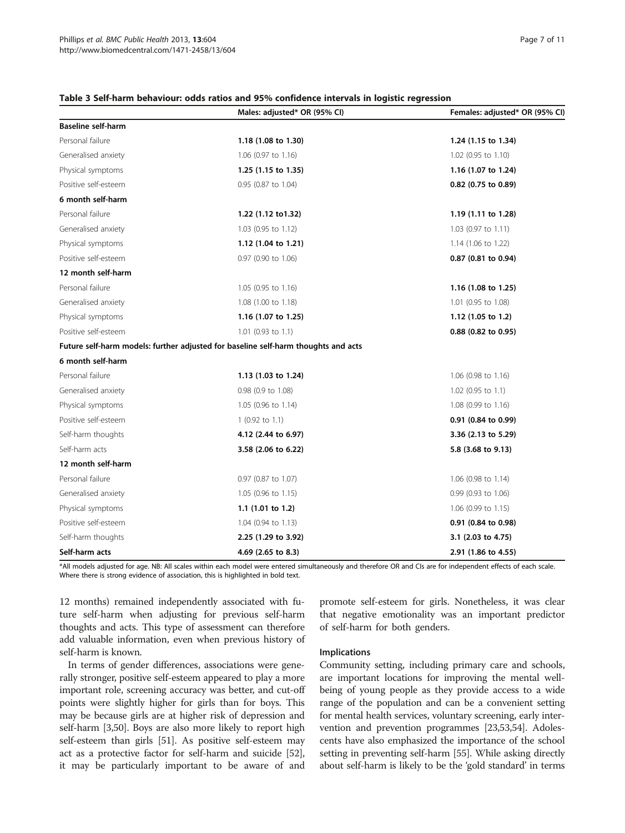|                           | Males: adjusted* OR (95% CI)                                                       | Females: adjusted* OR (95% CI) |  |  |  |
|---------------------------|------------------------------------------------------------------------------------|--------------------------------|--|--|--|
| <b>Baseline self-harm</b> |                                                                                    |                                |  |  |  |
| Personal failure          | 1.18 (1.08 to 1.30)                                                                | 1.24 (1.15 to 1.34)            |  |  |  |
| Generalised anxiety       | 1.06 (0.97 to 1.16)                                                                | 1.02 (0.95 to 1.10)            |  |  |  |
| Physical symptoms         | 1.25 (1.15 to 1.35)                                                                | 1.16 (1.07 to 1.24)            |  |  |  |
| Positive self-esteem      | 0.95 (0.87 to 1.04)                                                                | 0.82 (0.75 to 0.89)            |  |  |  |
| 6 month self-harm         |                                                                                    |                                |  |  |  |
| Personal failure          | 1.22 (1.12 to 1.32)                                                                | 1.19 (1.11 to 1.28)            |  |  |  |
| Generalised anxiety       | 1.03 (0.95 to 1.12)                                                                | 1.03 (0.97 to 1.11)            |  |  |  |
| Physical symptoms         | 1.12 (1.04 to 1.21)                                                                | 1.14 (1.06 to 1.22)            |  |  |  |
| Positive self-esteem      | 0.97 (0.90 to 1.06)                                                                | $0.87$ (0.81 to 0.94)          |  |  |  |
| 12 month self-harm        |                                                                                    |                                |  |  |  |
| Personal failure          | 1.05 (0.95 to 1.16)                                                                | 1.16 (1.08 to 1.25)            |  |  |  |
| Generalised anxiety       | 1.08 (1.00 to 1.18)                                                                | 1.01 (0.95 to 1.08)            |  |  |  |
| Physical symptoms         | 1.16 (1.07 to 1.25)                                                                | 1.12 (1.05 to 1.2)             |  |  |  |
| Positive self-esteem      | 1.01 (0.93 to 1.1)                                                                 | 0.88 (0.82 to 0.95)            |  |  |  |
|                           | Future self-harm models: further adjusted for baseline self-harm thoughts and acts |                                |  |  |  |
| 6 month self-harm         |                                                                                    |                                |  |  |  |
| Personal failure          | 1.13 (1.03 to 1.24)                                                                | $1.06$ (0.98 to 1.16)          |  |  |  |
| Generalised anxiety       | 0.98 (0.9 to 1.08)                                                                 | 1.02 (0.95 to 1.1)             |  |  |  |
| Physical symptoms         | 1.05 (0.96 to 1.14)                                                                | 1.08 (0.99 to 1.16)            |  |  |  |
| Positive self-esteem      | $1(0.92 \text{ to } 1.1)$                                                          | $0.91$ (0.84 to 0.99)          |  |  |  |
| Self-harm thoughts        | 4.12 (2.44 to 6.97)                                                                | 3.36 (2.13 to 5.29)            |  |  |  |
| Self-harm acts            | 3.58 (2.06 to 6.22)                                                                | 5.8 (3.68 to 9.13)             |  |  |  |
| 12 month self-harm        |                                                                                    |                                |  |  |  |
| Personal failure          | 0.97 (0.87 to 1.07)                                                                | 1.06 (0.98 to 1.14)            |  |  |  |
| Generalised anxiety       | 1.05 (0.96 to 1.15)                                                                | $0.99$ (0.93 to 1.06)          |  |  |  |
| Physical symptoms         | 1.1 $(1.01$ to 1.2)                                                                | $1.06$ (0.99 to $1.15$ )       |  |  |  |
| Positive self-esteem      | $1.04$ (0.94 to 1.13)                                                              | $0.91$ (0.84 to 0.98)          |  |  |  |
| Self-harm thoughts        | 2.25 (1.29 to 3.92)                                                                | 3.1 (2.03 to 4.75)             |  |  |  |
| Self-harm acts            | 4.69 (2.65 to 8.3)                                                                 | 2.91 (1.86 to 4.55)            |  |  |  |

#### <span id="page-6-0"></span>Table 3 Self-harm behaviour: odds ratios and 95% confidence intervals in logistic regression

\*All models adjusted for age. NB: All scales within each model were entered simultaneously and therefore OR and CIs are for independent effects of each scale. Where there is strong evidence of association, this is highlighted in bold text.

12 months) remained independently associated with future self-harm when adjusting for previous self-harm thoughts and acts. This type of assessment can therefore add valuable information, even when previous history of self-harm is known.

In terms of gender differences, associations were generally stronger, positive self-esteem appeared to play a more important role, screening accuracy was better, and cut-off points were slightly higher for girls than for boys. This may be because girls are at higher risk of depression and self-harm [\[3](#page-9-0)[,50\]](#page-10-0). Boys are also more likely to report high self-esteem than girls [[51](#page-10-0)]. As positive self-esteem may act as a protective factor for self-harm and suicide [[52](#page-10-0)], it may be particularly important to be aware of and promote self-esteem for girls. Nonetheless, it was clear that negative emotionality was an important predictor of self-harm for both genders.

#### Implications

Community setting, including primary care and schools, are important locations for improving the mental wellbeing of young people as they provide access to a wide range of the population and can be a convenient setting for mental health services, voluntary screening, early intervention and prevention programmes [[23,53,54\]](#page-10-0). Adolescents have also emphasized the importance of the school setting in preventing self-harm [\[55\]](#page-10-0). While asking directly about self-harm is likely to be the 'gold standard' in terms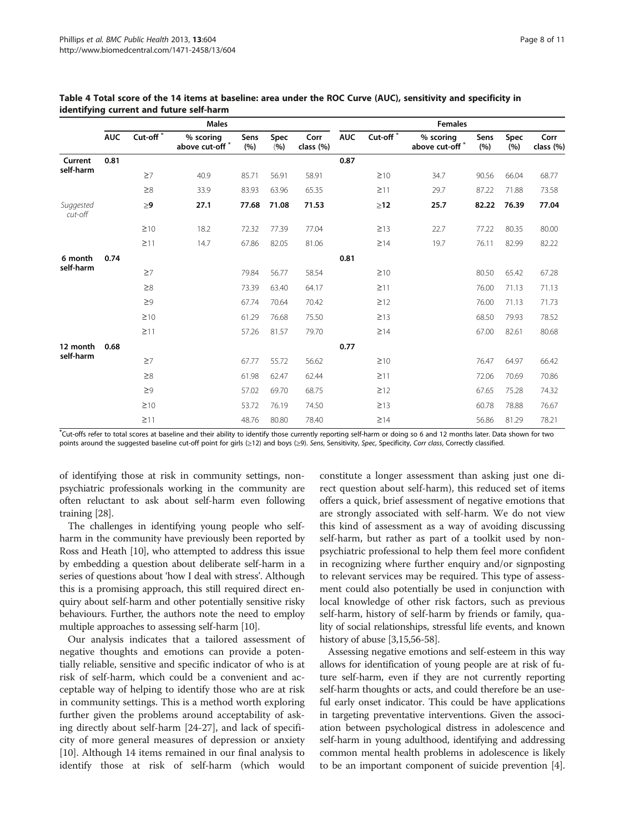|                       | <b>Males</b> |                        |                                         |             | <b>Females</b> |                   |            |                        |                            |             |             |                   |
|-----------------------|--------------|------------------------|-----------------------------------------|-------------|----------------|-------------------|------------|------------------------|----------------------------|-------------|-------------|-------------------|
|                       | <b>AUC</b>   | Cut-off $\overline{a}$ | % scoring<br>above cut-off <sup>*</sup> | Sens<br>(%) | Spec<br>(9/6)  | Corr<br>class (%) | <b>AUC</b> | Cut-off $\sqrt[x]{\ }$ | % scoring<br>above cut-off | Sens<br>(%) | Spec<br>(%) | Corr<br>class (%) |
| Current               | 0.81         |                        |                                         |             |                |                   | 0.87       |                        |                            |             |             |                   |
| self-harm             |              | $\geq 7$               | 40.9                                    | 85.71       | 56.91          | 58.91             |            | $\geq 10$              | 34.7                       | 90.56       | 66.04       | 68.77             |
|                       |              | $\geq 8$               | 33.9                                    | 83.93       | 63.96          | 65.35             |            | $\geq$ 11              | 29.7                       | 87.22       | 71.88       | 73.58             |
| Suggested<br>cut-off  |              | $\geq 9$               | 27.1                                    | 77.68       | 71.08          | 71.53             |            | $\geq$ 12              | 25.7                       | 82.22       | 76.39       | 77.04             |
|                       |              | $\geq 10$              | 18.2                                    | 72.32       | 77.39          | 77.04             |            | $\geq$ 13              | 22.7                       | 77.22       | 80.35       | 80.00             |
|                       |              | $\geq$ 11              | 14.7                                    | 67.86       | 82.05          | 81.06             |            | $\geq$ 14              | 19.7                       | 76.11       | 82.99       | 82.22             |
| 6 month<br>self-harm  | 0.74         |                        |                                         |             |                |                   | 0.81       |                        |                            |             |             |                   |
|                       |              | $\geq 7$               |                                         | 79.84       | 56.77          | 58.54             |            | $\geq 10$              |                            | 80.50       | 65.42       | 67.28             |
|                       |              | $\geq 8$               |                                         | 73.39       | 63.40          | 64.17             |            | $\geq$ 11              |                            | 76.00       | 71.13       | 71.13             |
|                       |              | $\geq$ 9               |                                         | 67.74       | 70.64          | 70.42             |            | $\geq$ 12              |                            | 76.00       | 71.13       | 71.73             |
|                       |              | $\geq 10$              |                                         | 61.29       | 76.68          | 75.50             |            | $\geq$ 13              |                            | 68.50       | 79.93       | 78.52             |
|                       |              | $\geq$ 11              |                                         | 57.26       | 81.57          | 79.70             |            | $\geq$ 14              |                            | 67.00       | 82.61       | 80.68             |
| 12 month<br>self-harm | 0.68         |                        |                                         |             |                |                   | 0.77       |                        |                            |             |             |                   |
|                       |              | $\geq$ 7               |                                         | 67.77       | 55.72          | 56.62             |            | $\geq 10$              |                            | 76.47       | 64.97       | 66.42             |
|                       |              | $\geq 8$               |                                         | 61.98       | 62.47          | 62.44             |            | $\geq$ 11              |                            | 72.06       | 70.69       | 70.86             |
|                       |              | $\geq$ 9               |                                         | 57.02       | 69.70          | 68.75             |            | $\geq$ 12              |                            | 67.65       | 75.28       | 74.32             |
|                       |              | $\geq 10$              |                                         | 53.72       | 76.19          | 74.50             |            | $\geq$ 13              |                            | 60.78       | 78.88       | 76.67             |
|                       |              | $\geq$ 11              |                                         | 48.76       | 80.80          | 78.40             |            | $\geq$ 14              |                            | 56.86       | 81.29       | 78.21             |

<span id="page-7-0"></span>Table 4 Total score of the 14 items at baseline: area under the ROC Curve (AUC), sensitivity and specificity in identifying current and future self-harm

\* Cut-offs refer to total scores at baseline and their ability to identify those currently reporting self-harm or doing so 6 and 12 months later. Data shown for two points around the suggested baseline cut-off point for girls (≥12) and boys (≥9). Sens, Sensitivity, Spec, Specificity, Corr class, Correctly classified.

of identifying those at risk in community settings, nonpsychiatric professionals working in the community are often reluctant to ask about self-harm even following training [\[28](#page-10-0)].

The challenges in identifying young people who selfharm in the community have previously been reported by Ross and Heath [\[10\]](#page-9-0), who attempted to address this issue by embedding a question about deliberate self-harm in a series of questions about 'how I deal with stress'. Although this is a promising approach, this still required direct enquiry about self-harm and other potentially sensitive risky behaviours. Further, the authors note the need to employ multiple approaches to assessing self-harm [[10](#page-9-0)].

Our analysis indicates that a tailored assessment of negative thoughts and emotions can provide a potentially reliable, sensitive and specific indicator of who is at risk of self-harm, which could be a convenient and acceptable way of helping to identify those who are at risk in community settings. This is a method worth exploring further given the problems around acceptability of asking directly about self-harm [\[24-27](#page-10-0)], and lack of specificity of more general measures of depression or anxiety [[10\]](#page-9-0). Although 14 items remained in our final analysis to identify those at risk of self-harm (which would

constitute a longer assessment than asking just one direct question about self-harm), this reduced set of items offers a quick, brief assessment of negative emotions that are strongly associated with self-harm. We do not view this kind of assessment as a way of avoiding discussing self-harm, but rather as part of a toolkit used by nonpsychiatric professional to help them feel more confident in recognizing where further enquiry and/or signposting to relevant services may be required. This type of assessment could also potentially be used in conjunction with local knowledge of other risk factors, such as previous self-harm, history of self-harm by friends or family, quality of social relationships, stressful life events, and known history of abuse [\[3,15](#page-9-0)[,56](#page-10-0)-[58](#page-10-0)].

Assessing negative emotions and self-esteem in this way allows for identification of young people are at risk of future self-harm, even if they are not currently reporting self-harm thoughts or acts, and could therefore be an useful early onset indicator. This could be have applications in targeting preventative interventions. Given the association between psychological distress in adolescence and self-harm in young adulthood, identifying and addressing common mental health problems in adolescence is likely to be an important component of suicide prevention [[4](#page-9-0)].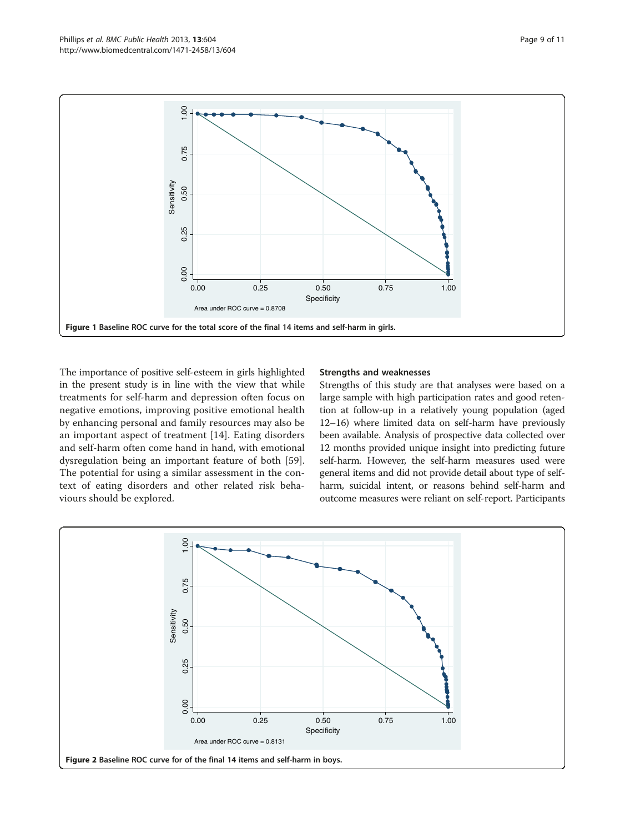<span id="page-8-0"></span>

The importance of positive self-esteem in girls highlighted in the present study is in line with the view that while treatments for self-harm and depression often focus on negative emotions, improving positive emotional health by enhancing personal and family resources may also be an important aspect of treatment [[14\]](#page-9-0). Eating disorders and self-harm often come hand in hand, with emotional dysregulation being an important feature of both [[59](#page-10-0)]. The potential for using a similar assessment in the context of eating disorders and other related risk behaviours should be explored.

#### Strengths and weaknesses

Strengths of this study are that analyses were based on a large sample with high participation rates and good retention at follow-up in a relatively young population (aged 12–16) where limited data on self-harm have previously been available. Analysis of prospective data collected over 12 months provided unique insight into predicting future self-harm. However, the self-harm measures used were general items and did not provide detail about type of selfharm, suicidal intent, or reasons behind self-harm and outcome measures were reliant on self-report. Participants

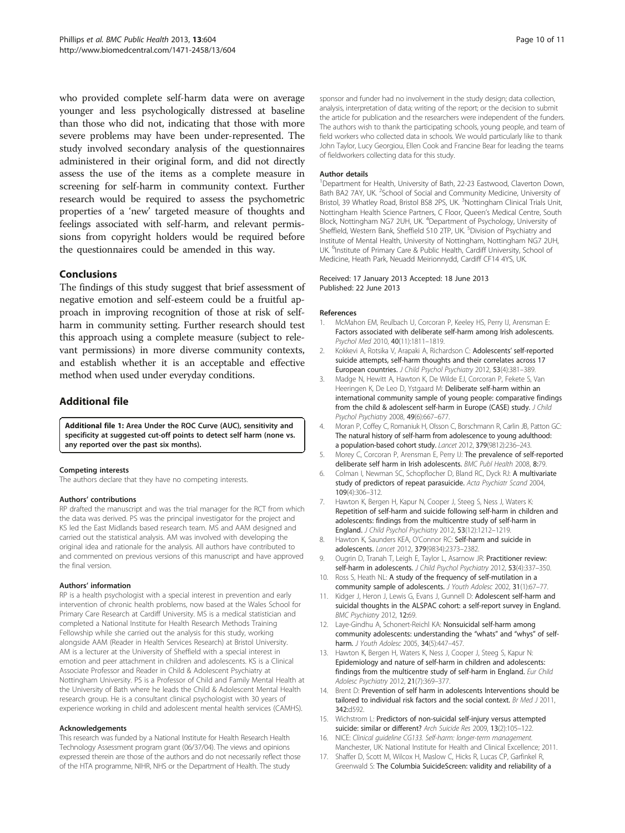<span id="page-9-0"></span>who provided complete self-harm data were on average younger and less psychologically distressed at baseline than those who did not, indicating that those with more severe problems may have been under-represented. The study involved secondary analysis of the questionnaires administered in their original form, and did not directly assess the use of the items as a complete measure in screening for self-harm in community context. Further research would be required to assess the psychometric properties of a 'new' targeted measure of thoughts and feelings associated with self-harm, and relevant permissions from copyright holders would be required before the questionnaires could be amended in this way.

#### Conclusions

The findings of this study suggest that brief assessment of negative emotion and self-esteem could be a fruitful approach in improving recognition of those at risk of selfharm in community setting. Further research should test this approach using a complete measure (subject to relevant permissions) in more diverse community contexts, and establish whether it is an acceptable and effective method when used under everyday conditions.

## Additional file

[Additional file 1:](http://www.biomedcentral.com/content/supplementary/1471-2458-13-604-S1.doc) Area Under the ROC Curve (AUC), sensitivity and specificity at suggested cut-off points to detect self harm (none vs. any reported over the past six months).

#### Competing interests

The authors declare that they have no competing interests.

#### Authors' contributions

RP drafted the manuscript and was the trial manager for the RCT from which the data was derived. PS was the principal investigator for the project and KS led the East Midlands based research team. MS and AAM designed and carried out the statistical analysis. AM was involved with developing the original idea and rationale for the analysis. All authors have contributed to and commented on previous versions of this manuscript and have approved the final version.

#### Authors' information

RP is a health psychologist with a special interest in prevention and early intervention of chronic health problems, now based at the Wales School for Primary Care Research at Cardiff University. MS is a medical statistician and completed a National Institute for Health Research Methods Training Fellowship while she carried out the analysis for this study, working alongside AAM (Reader in Health Services Research) at Bristol University. AM is a lecturer at the University of Sheffield with a special interest in emotion and peer attachment in children and adolescents. KS is a Clinical Associate Professor and Reader in Child & Adolescent Psychiatry at Nottingham University. PS is a Professor of Child and Family Mental Health at the University of Bath where he leads the Child & Adolescent Mental Health research group. He is a consultant clinical psychologist with 30 years of experience working in child and adolescent mental health services (CAMHS).

#### Acknowledgements

This research was funded by a National Institute for Health Research Health Technology Assessment program grant (06/37/04). The views and opinions expressed therein are those of the authors and do not necessarily reflect those of the HTA programme, NIHR, NHS or the Department of Health. The study

sponsor and funder had no involvement in the study design; data collection, analysis, interpretation of data; writing of the report; or the decision to submit the article for publication and the researchers were independent of the funders. The authors wish to thank the participating schools, young people, and team of field workers who collected data in schools. We would particularly like to thank John Taylor, Lucy Georgiou, Ellen Cook and Francine Bear for leading the teams of fieldworkers collecting data for this study.

#### Author details

<sup>1</sup>Department for Health, University of Bath, 22-23 Eastwood, Claverton Down, Bath BA2 7AY, UK. <sup>2</sup>School of Social and Community Medicine, University of Bristol, 39 Whatley Road, Bristol BS8 2PS, UK. <sup>3</sup>Nottingham Clinical Trials Unit Nottingham Health Science Partners, C Floor, Queen's Medical Centre, South Block, Nottingham NG7 2UH, UK. <sup>4</sup>Department of Psychology, University of Sheffield, Western Bank, Sheffield S10 2TP, UK. <sup>5</sup>Division of Psychiatry and Institute of Mental Health, University of Nottingham, Nottingham NG7 2UH, UK. <sup>6</sup>Institute of Primary Care & Public Health, Cardiff University, School of Medicine, Heath Park, Neuadd Meirionnydd, Cardiff CF14 4YS, UK.

#### Received: 17 January 2013 Accepted: 18 June 2013 Published: 22 June 2013

#### References

- 1. McMahon EM, Reulbach U, Corcoran P, Keeley HS, Perry IJ, Arensman E: Factors associated with deliberate self-harm among Irish adolescents. Psychol Med 2010, 40(11):1811–1819.
- 2. Kokkevi A, Rotsika V, Arapaki A, Richardson C; Adolescents' self-reported suicide attempts, self-harm thoughts and their correlates across 17 European countries. J Child Psychol Psychiatry 2012, 53(4):381–389.
- 3. Madge N, Hewitt A, Hawton K, De Wilde EJ, Corcoran P, Fekete S, Van Heeringen K, De Leo D, Ystgaard M: Deliberate self-harm within an international community sample of young people: comparative findings from the child & adolescent self-harm in Europe (CASE) study. J Child Psychol Psychiatry 2008, 49(6):667–677.
- 4. Moran P, Coffey C, Romaniuk H, Olsson C, Borschmann R, Carlin JB, Patton GC: The natural history of self-harm from adolescence to young adulthood: a population-based cohort study. Lancet 2012, 379(9812):236–243.
- 5. Morey C, Corcoran P, Arensman E, Perry IJ: The prevalence of self-reported deliberate self harm in Irish adolescents. BMC Publ Health 2008, 8:79.
- 6. Colman I, Newman SC, Schopflocher D, Bland RC, Dyck RJ: A multivariate study of predictors of repeat parasuicide. Acta Psychiatr Scand 2004, 109(4):306–312.
- 7. Hawton K, Bergen H, Kapur N, Cooper J, Steeg S, Ness J, Waters K: Repetition of self-harm and suicide following self-harm in children and adolescents: findings from the multicentre study of self-harm in England. J Child Psychol Psychiatry 2012, 53(12):1212–1219.
- 8. Hawton K, Saunders KEA, O'Connor RC: Self-harm and suicide in adolescents. Lancet 2012, 379(9834):2373–2382.
- 9. Ougrin D, Tranah T, Leigh E, Taylor L, Asarnow JR: Practitioner review: self-harm in adolescents. J Child Psychol Psychiatry 2012, 53(4):337-350.
- 10. Ross S, Heath NL: A study of the frequency of self-mutilation in a community sample of adolescents. J Youth Adolesc 2002, 31(1):67–77.
- 11. Kidger J, Heron J, Lewis G, Evans J, Gunnell D: Adolescent self-harm and suicidal thoughts in the ALSPAC cohort: a self-report survey in England. BMC Psychiatry 2012, 12:69.
- 12. Laye-Gindhu A, Schonert-Reichl KA: Nonsuicidal self-harm among community adolescents: understanding the "whats" and "whys" of selfharm. J Youth Adolesc 2005, 34(5):447-457.
- 13. Hawton K, Bergen H, Waters K, Ness J, Cooper J, Steeg S, Kapur N: Epidemiology and nature of self-harm in children and adolescents: findings from the multicentre study of self-harm in England. Eur Child Adolesc Psychiatry 2012, 21(7):369–377.
- 14. Brent D: Prevention of self harm in adolescents Interventions should be tailored to individual risk factors and the social context. Br Med J 2011, 342:d592.
- 15. Wichstrom L: Predictors of non-suicidal self-injury versus attempted suicide: similar or different? Arch Suicide Res 2009, 13(2):105–122.
- 16. NICE: Clinical guideline CG133. Self-harm: longer-term management. Manchester, UK: National Institute for Health and Clinical Excellence; 2011.
- 17. Shaffer D, Scott M, Wilcox H, Maslow C, Hicks R, Lucas CP, Garfinkel R, Greenwald S: The Columbia SuicideScreen: validity and reliability of a